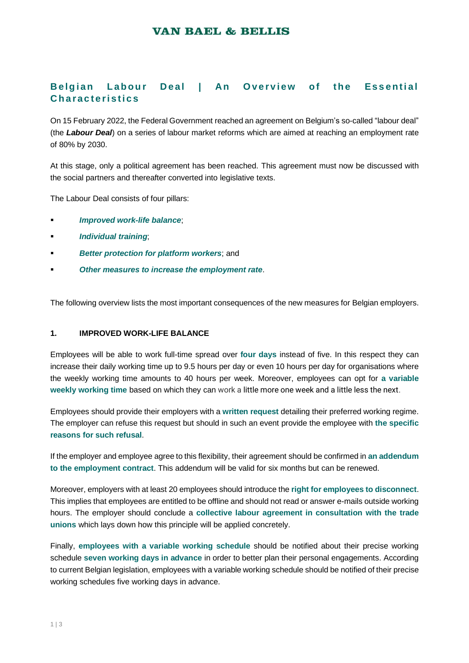## **VAN BAEL & BELLIS**

# **Belgian Labour Deal I An Overview of the Essential C h a ra c t e ri s t i c s**

On 15 February 2022, the Federal Government reached an agreement on Belgium's so-called "labour deal" (the *Labour Deal*) on a series of labour market reforms which are aimed at reaching an employment rate of 80% by 2030.

At this stage, only a political agreement has been reached. This agreement must now be discussed with the social partners and thereafter converted into legislative texts.

The Labour Deal consists of four pillars:

- *Improved work-life balance*;
- *Individual training*;
- *Better protection for platform workers*; and
- *Other measures to increase the employment rate*.

The following overview lists the most important consequences of the new measures for Belgian employers.

#### **1. IMPROVED WORK-LIFE BALANCE**

Employees will be able to work full-time spread over **four days** instead of five. In this respect they can increase their daily working time up to 9.5 hours per day or even 10 hours per day for organisations where the weekly working time amounts to 40 hours per week. Moreover, employees can opt for **a variable weekly working time** based on which they can work a little more one week and a little less the next.

Employees should provide their employers with a **written request** detailing their preferred working regime. The employer can refuse this request but should in such an event provide the employee with **the specific reasons for such refusal**.

If the employer and employee agree to this flexibility, their agreement should be confirmed in **an addendum to the employment contract**. This addendum will be valid for six months but can be renewed.

Moreover, employers with at least 20 employees should introduce the **right for employees to disconnect**. This implies that employees are entitled to be offline and should not read or answer e-mails outside working hours. The employer should conclude a **collective labour agreement in consultation with the trade unions** which lays down how this principle will be applied concretely.

Finally, **employees with a variable working schedule** should be notified about their precise working schedule **seven working days in advance** in order to better plan their personal engagements. According to current Belgian legislation, employees with a variable working schedule should be notified of their precise working schedules five working days in advance.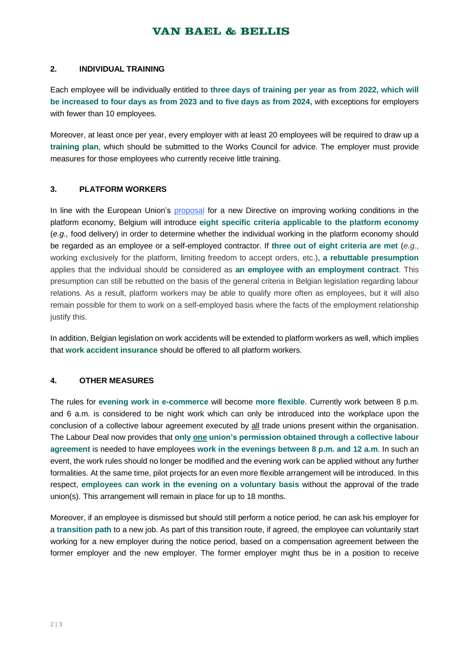### **VAN BAEL & BELLIS**

#### **2. INDIVIDUAL TRAINING**

Each employee will be individually entitled to **three days of training per year as from 2022, which will be increased to four days as from 2023 and to five days as from 2024,** with exceptions for employers with fewer than 10 employees.

Moreover, at least once per year, every employer with at least 20 employees will be required to draw up a **training plan**, which should be submitted to the Works Council for advice. The employer must provide measures for those employees who currently receive little training.

### **3. PLATFORM WORKERS**

In line with the European Union's [proposal](https://ec.europa.eu/commission/presscorner/detail/en/ip_21_6605) for a new Directive on improving working conditions in the platform economy, Belgium will introduce **eight specific criteria applicable to the platform economy** (*e.g.,* food delivery) in order to determine whether the individual working in the platform economy should be regarded as an employee or a self-employed contractor. If **three out of eight criteria are met** (*e.g*., working exclusively for the platform, limiting freedom to accept orders, etc.), **a rebuttable presumption** applies that the individual should be considered as **an employee with an employment contract**. This presumption can still be rebutted on the basis of the general criteria in Belgian legislation regarding labour relations. As a result, platform workers may be able to qualify more often as employees, but it will also remain possible for them to work on a self-employed basis where the facts of the employment relationship justify this.

In addition, Belgian legislation on work accidents will be extended to platform workers as well, which implies that **work accident insurance** should be offered to all platform workers.

### **4. OTHER MEASURES**

The rules for **evening work in e-commerce** will become **more flexible**. Currently work between 8 p.m. and 6 a.m. is considered to be night work which can only be introduced into the workplace upon the conclusion of a collective labour agreement executed by all trade unions present within the organisation. The Labour Deal now provides that **only one union's permission obtained through a collective labour agreement** is needed to have employees **work in the evenings between 8 p.m. and 12 a.m**. In such an event, the work rules should no longer be modified and the evening work can be applied without any further formalities. At the same time, pilot projects for an even more flexible arrangement will be introduced. In this respect, **employees can work in the evening on a voluntary basis** without the approval of the trade union(s). This arrangement will remain in place for up to 18 months.

Moreover, if an employee is dismissed but should still perform a notice period, he can ask his employer for a **transition path** to a new job. As part of this transition route, if agreed, the employee can voluntarily start working for a new employer during the notice period, based on a compensation agreement between the former employer and the new employer. The former employer might thus be in a position to receive